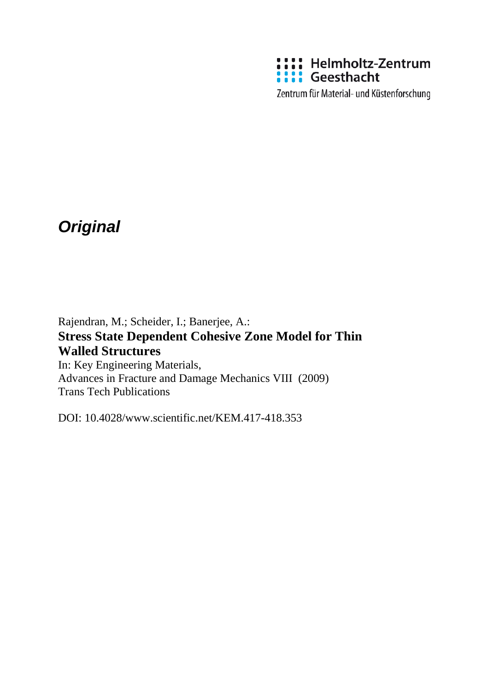

Zentrum für Material- und Küstenforschung

# *Original*

Rajendran, M.; Scheider, I.; Banerjee, A.: **Stress State Dependent Cohesive Zone Model for Thin Walled Structures** In: Key Engineering Materials, Advances in Fracture and Damage Mechanics VIII (2009) Trans Tech Publications

DOI: 10.4028/www.scientific.net/KEM.417-418.353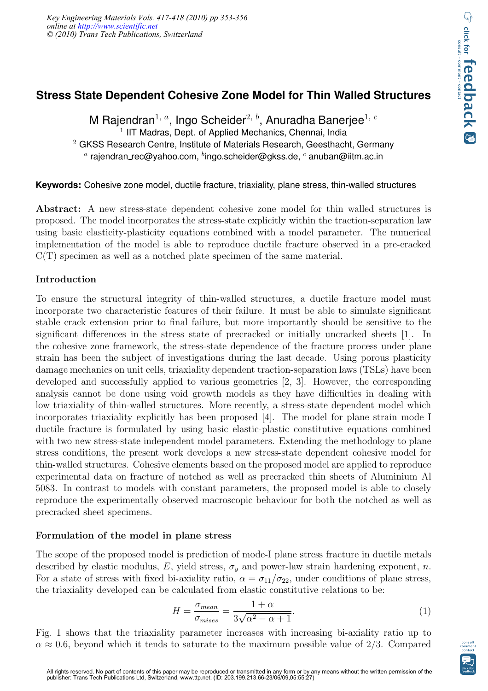# **Stress State Dependent Cohesive Zone Model for Thin Walled Structures**

M Rajendran<sup>1, a</sup>, Ingo Scheider<sup>2, b</sup>, Anuradha Banerjee<sup>1, c</sup> <sup>1</sup> IIT Madras, Dept. of Applied Mechanics, Chennai, India  $2$  GKSS Research Centre, Institute of Materials Research, Geesthacht, Germany  $^a$  rajendran\_rec@yahoo.com,  $^b$ ingo.scheider@gkss.de,  $^c$  anuban@iitm.ac.in

**Keywords:** Cohesive zone model, ductile fracture, triaxiality, plane stress, thin-walled structures

Abstract: A new stress-state dependent cohesive zone model for thin walled structures is proposed. The model incorporates the stress-state explicitly within the traction-separation law using basic elasticity-plasticity equations combined with a model parameter. The numerical implementation of the model is able to reproduce ductile fracture observed in a pre-cracked C(T) specimen as well as a notched plate specimen of the same material.

## Introduction

To ensure the structural integrity of thin-walled structures, a ductile fracture model must incorporate two characteristic features of their failure. It must be able to simulate significant stable crack extension prior to final failure, but more importantly should be sensitive to the significant differences in the stress state of precracked or initially uncracked sheets [1]. In the cohesive zone framework, the stress-state dependence of the fracture process under plane strain has been the subject of investigations during the last decade. Using porous plasticity damage mechanics on unit cells, triaxiality dependent traction-separation laws (TSLs) have been developed and successfully applied to various geometries [2, 3]. However, the corresponding analysis cannot be done using void growth models as they have difficulties in dealing with low triaxiality of thin-walled structures. More recently, a stress-state dependent model which incorporates triaxiality explicitly has been proposed [4]. The model for plane strain mode I ductile fracture is formulated by using basic elastic-plastic constitutive equations combined with two new stress-state independent model parameters. Extending the methodology to plane stress conditions, the present work develops a new stress-state dependent cohesive model for thin-walled structures. Cohesive elements based on the proposed model are applied to reproduce experimental data on fracture of notched as well as precracked thin sheets of Aluminium Al 5083. In contrast to models with constant parameters, the proposed model is able to closely reproduce the experimentally observed macroscopic behaviour for both the notched as well as precracked sheet specimens.

## Formulation of the model in plane stress

The scope of the proposed model is prediction of mode-I plane stress fracture in ductile metals described by elastic modulus, E, yield stress,  $\sigma_y$  and power-law strain hardening exponent, n. For a state of stress with fixed bi-axiality ratio,  $\alpha = \sigma_{11}/\sigma_{22}$ , under conditions of plane stress, the triaxiality developed can be calculated from elastic constitutive relations to be:

$$
H = \frac{\sigma_{mean}}{\sigma_{mises}} = \frac{1 + \alpha}{3\sqrt{\alpha^2 - \alpha + 1}}.\tag{1}
$$

Fig. 1 shows that the triaxiality parameter increases with increasing bi-axiality ratio up to  $\alpha \approx 0.6$ , beyond which it tends to saturate to the maximum possible value of 2/3. Compared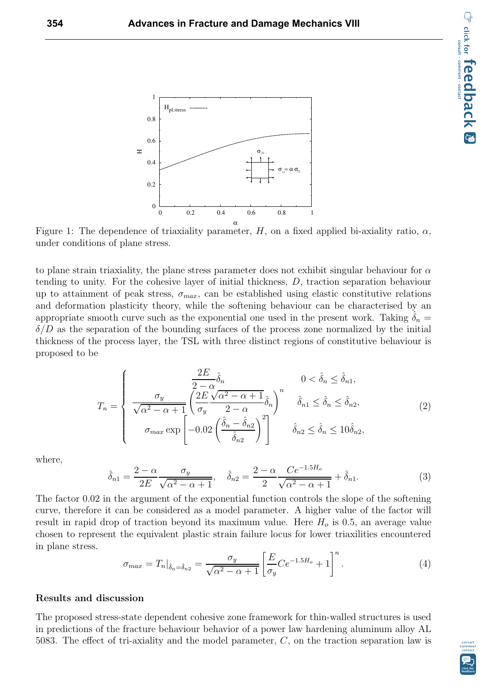

Figure 1: The dependence of triaxiality parameter, H, on a fixed applied bi-axiality ratio,  $\alpha$ , under conditions of plane stress.

to plane strain triaxiality, the plane stress parameter does not exhibit singular behaviour for  $\alpha$ tending to unity. For the cohesive layer of initial thickness, D, traction separation behaviour up to attainment of peak stress,  $\sigma_{max}$ , can be established using elastic constitutive relations and deformation plasticity theory, while the softening behaviour can be characterised by an appropriate smooth curve such as the exponential one used in the present work. Taking  $\delta_n =$  $\delta/D$  as the separation of the bounding surfaces of the process zone normalized by the initial thickness of the process layer, the TSL with three distinct regions of constitutive behaviour is proposed to be

$$
T_n = \begin{cases} \n\frac{2E}{2 - \alpha} \hat{\delta}_n & 0 < \hat{\delta}_n \leq \hat{\delta}_{n1}, \\
\frac{\sigma_y}{\sqrt{\alpha^2 - \alpha + 1}} \left( \frac{2E}{\sigma_y} \frac{\sqrt{\alpha^2 - \alpha + 1}}{2 - \alpha} \hat{\delta}_n \right)^n & \hat{\delta}_{n1} \leq \hat{\delta}_n \leq \hat{\delta}_{n2}, \\
\sigma_{\text{max}} \exp\left[ -0.02 \left( \frac{\hat{\delta}_n - \hat{\delta}_{n2}}{\hat{\delta}_{n2}} \right)^2 \right] & \hat{\delta}_{n2} \leq \hat{\delta}_n \leq 10 \hat{\delta}_{n2},\n\end{cases} \tag{2}
$$

where,

$$
\hat{\delta}_{n1} = \frac{2 - \alpha}{2E} \frac{\sigma_y}{\sqrt{\alpha^2 - \alpha + 1}}, \quad \hat{\delta}_{n2} = \frac{2 - \alpha}{2} \frac{Ce^{-1.5H_o}}{\sqrt{\alpha^2 - \alpha + 1}} + \hat{\delta}_{n1}.
$$
 (3)

The factor 0.02 in the argument of the exponential function controls the slope of the softening curve, therefore it can be considered as a model parameter. A higher value of the factor will result in rapid drop of traction beyond its maximum value. Here  $H<sub>o</sub>$  is 0.5, an average value chosen to represent the equivalent plastic strain failure locus for lower triaxilities encountered in plane stress.

$$
\sigma_{max} = T_n|_{\hat{\delta}_n = \hat{\delta}_n} = \frac{\sigma_y}{\sqrt{\alpha^2 - \alpha + 1}} \left[ \frac{E}{\sigma_y} C e^{-1.5H_o} + 1 \right]^n.
$$
\n(4)

#### Results and discussion

The proposed stress-state dependent cohesive zone framework for thin-walled structures is used in predictions of the fracture behaviour behavior of a power law hardening aluminum alloy AL 5083. The effect of tri-axiality and the model parameter,  $C$ , on the traction separation law is

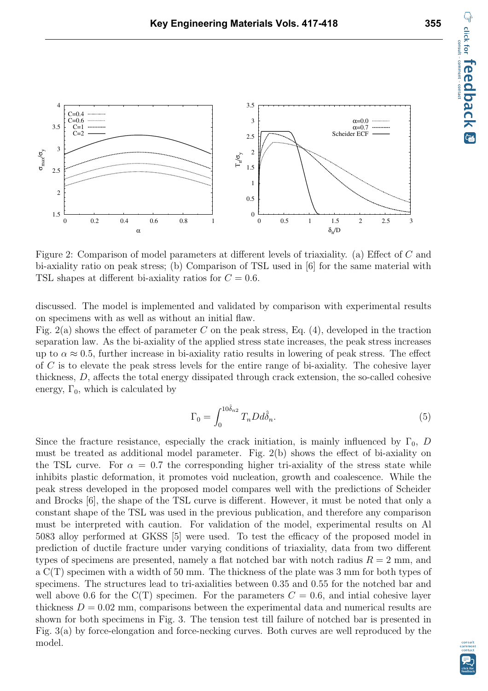

Figure 2: Comparison of model parameters at different levels of triaxiality. (a) Effect of C and bi-axiality ratio on peak stress; (b) Comparison of TSL used in [6] for the same material with TSL shapes at different bi-axiality ratios for  $C = 0.6$ .

discussed. The model is implemented and validated by comparison with experimental results on specimens with as well as without an initial flaw.

Fig. 2(a) shows the effect of parameter C on the peak stress, Eq.  $(4)$ , developed in the traction separation law. As the bi-axiality of the applied stress state increases, the peak stress increases up to  $\alpha \approx 0.5$ , further increase in bi-axiality ratio results in lowering of peak stress. The effect of C is to elevate the peak stress levels for the entire range of bi-axiality. The cohesive layer thickness, D, affects the total energy dissipated through crack extension, the so-called cohesive energy,  $\Gamma_0$ , which is calculated by

$$
\Gamma_0 = \int_0^{10\hat{\delta}_{n2}} T_n D d\hat{\delta}_n. \tag{5}
$$

Since the fracture resistance, especially the crack initiation, is mainly influenced by  $\Gamma_0$ , D must be treated as additional model parameter. Fig. 2(b) shows the effect of bi-axiality on the TSL curve. For  $\alpha = 0.7$  the corresponding higher tri-axiality of the stress state while inhibits plastic deformation, it promotes void nucleation, growth and coalescence. While the peak stress developed in the proposed model compares well with the predictions of Scheider and Brocks [6], the shape of the TSL curve is different. However, it must be noted that only a constant shape of the TSL was used in the previous publication, and therefore any comparison must be interpreted with caution. For validation of the model, experimental results on Al 5083 alloy performed at GKSS [5] were used. To test the efficacy of the proposed model in prediction of ductile fracture under varying conditions of triaxiality, data from two different types of specimens are presented, namely a flat notched bar with notch radius  $R = 2$  mm, and a C(T) specimen with a width of 50 mm. The thickness of the plate was 3 mm for both types of specimens. The structures lead to tri-axialities between 0.35 and 0.55 for the notched bar and well above 0.6 for the C(T) specimen. For the parameters  $C = 0.6$ , and intial cohesive layer thickness  $D = 0.02$  mm, comparisons between the experimental data and numerical results are shown for both specimens in Fig. 3. The tension test till failure of notched bar is presented in Fig. 3(a) by force-elongation and force-necking curves. Both curves are well reproduced by the model.

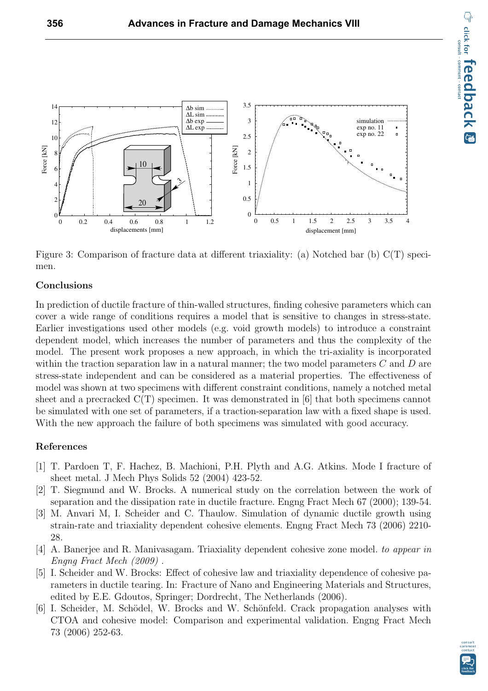

Figure 3: Comparison of fracture data at different triaxiality: (a) Notched bar (b) C(T) specimen.

### Conclusions

In prediction of ductile fracture of thin-walled structures, finding cohesive parameters which can cover a wide range of conditions requires a model that is sensitive to changes in stress-state. Earlier investigations used other models (e.g. void growth models) to introduce a constraint dependent model, which increases the number of parameters and thus the complexity of the model. The present work proposes a new approach, in which the tri-axiality is incorporated within the traction separation law in a natural manner; the two model parameters  $C$  and  $D$  are stress-state independent and can be considered as a material properties. The effectiveness of model was shown at two specimens with different constraint conditions, namely a notched metal sheet and a precracked  $C(T)$  specimen. It was demonstrated in [6] that both specimens cannot be simulated with one set of parameters, if a traction-separation law with a fixed shape is used. With the new approach the failure of both specimens was simulated with good accuracy.

#### References

- [1] T. Pardoen T, F. Hachez, B. Machioni, P.H. Plyth and A.G. Atkins. Mode I fracture of sheet metal. J Mech Phys Solids 52 (2004) 423-52.
- [2] T. Siegmund and W. Brocks. A numerical study on the correlation between the work of separation and the dissipation rate in ductile fracture. Engng Fract Mech 67 (2000); 139-54.
- [3] M. Anvari M, I. Scheider and C. Thaulow. Simulation of dynamic ductile growth using strain-rate and triaxiality dependent cohesive elements. Engng Fract Mech 73 (2006) 2210- 28.
- [4] A. Banerjee and R. Manivasagam. Triaxiality dependent cohesive zone model. to appear in Engng Fract Mech (2009) .
- [5] I. Scheider and W. Brocks: Effect of cohesive law and triaxiality dependence of cohesive parameters in ductile tearing. In: Fracture of Nano and Engineering Materials and Structures, edited by E.E. Gdoutos, Springer; Dordrecht, The Netherlands (2006).
- [6] I. Scheider, M. Schödel, W. Brocks and W. Schönfeld. Crack propagation analyses with CTOA and cohesive model: Comparison and experimental validation. Engng Fract Mech 73 (2006) 252-63.